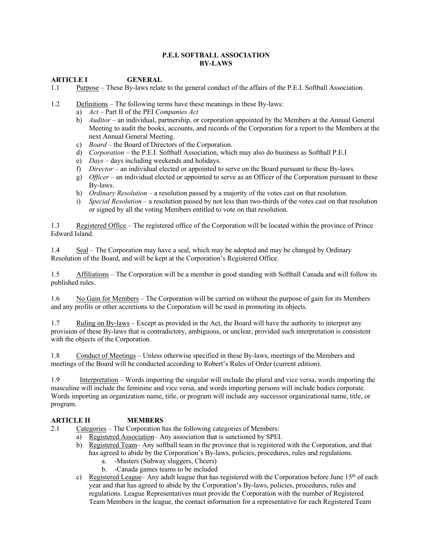#### **P.E.I. SOFTBALL ASSOCIATION BY-LAWS**

## **ARTICLE I GENERAL**

1.1 Purpose – These By-laws relate to the general conduct of the affairs of the P.E.I. Softball Association.

- 1.2 Definitions The following terms have these meanings in these By-laws:
	- a) *Act* Part II of the PEI *Companies Act*
	- b) *Auditor* an individual, partnership, or corporation appointed by the Members at the Annual General Meeting to audit the books, accounts, and records of the Corporation for a report to the Members at the next Annual General Meeting.
	- c) *Board* the Board of Directors of the Corporation.
	- d) *Corporation* the P.E.I. Softball Association, which may also do business as Softball P.E.I
	- e) *Days* days including weekends and holidays.
	- f) *Director* an individual elected or appointed to serve on the Board pursuant to these By-laws.
	- g) *Officer* an individual elected or appointed to serve as an Officer of the Corporation pursuant to these By-laws.
	- h) *Ordinary Resolution* a resolution passed by a majority of the votes cast on that resolution.
	- i) *Special Resolution* a resolution passed by not less than two-thirds of the votes cast on that resolution or signed by all the voting Members entitled to vote on that resolution.

1.3 Registered Office – The registered office of the Corporation will be located within the province of Prince Edward Island.

1.4 Seal – The Corporation may have a seal, which may be adopted and may be changed by Ordinary Resolution of the Board, and will be kept at the Corporation's Registered Office.

1.5 Affiliations – The Corporation will be a member in good standing with Softball Canada and will follow its published rules.

1.6 No Gain for Members – The Corporation will be carried on without the purpose of gain for its Members and any profits or other accretions to the Corporation will be used in promoting its objects.

1.7 Ruling on By-laws – Except as provided in the Act, the Board will have the authority to interpret any provision of these By-laws that is contradictory, ambiguous, or unclear, provided such interpretation is consistent with the objects of the Corporation.

1.8 Conduct of Meetings – Unless otherwise specified in these By-laws, meetings of the Members and meetings of the Board will be conducted according to Robert's Rules of Order (current edition).

1.9 Interpretation – Words importing the singular will include the plural and vice versa, words importing the masculine will include the feminine and vice versa, and words importing persons will include bodies corporate. Words importing an organization name, title, or program will include any successor organizational name, title, or program.

# **ARTICLE II MEMBERS**

2.1 Categories – The Corporation has the following categories of Members:

- a) Registered Association– Any association that is sanctioned by SPEI.
	- b) Registered Team– Any softball team in the province that is registered with the Corporation, and that has agreed to abide by the Corporation's By-laws, policies, procedures, rules and regulations.
		- a. -Masters (Subway sluggers, Cheers)
		- b. -Canada games teams to be included
	- c) Registered League– Any adult league that has registered with the Corporation before June  $15<sup>th</sup>$  of each year and that has agreed to abide by the Corporation's By-laws, policies, procedures, rules and regulations. League Representatives must provide the Corporation with the number of Registered Team Members in the league, the contact information for a representative for each Registered Team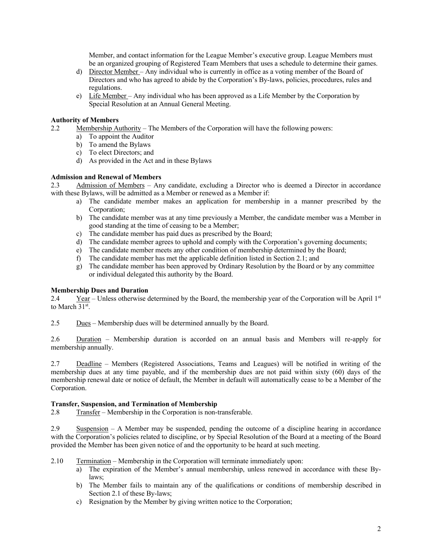Member, and contact information for the League Member's executive group. League Members must be an organized grouping of Registered Team Members that uses a schedule to determine their games.

- d) Director Member Any individual who is currently in office as a voting member of the Board of Directors and who has agreed to abide by the Corporation's By-laws, policies, procedures, rules and regulations.
- e) Life Member Any individual who has been approved as a Life Member by the Corporation by Special Resolution at an Annual General Meeting.

## **Authority of Members**

- 2.2 Membership Authority The Members of the Corporation will have the following powers:
	- a) To appoint the Auditor
	- b) To amend the Bylaws
	- c) To elect Directors; and
	- d) As provided in the Act and in these Bylaws

## **Admission and Renewal of Members**

2.3 Admission of Members – Any candidate, excluding a Director who is deemed a Director in accordance with these Bylaws, will be admitted as a Member or renewed as a Member if:

- a) The candidate member makes an application for membership in a manner prescribed by the Corporation;
- b) The candidate member was at any time previously a Member, the candidate member was a Member in good standing at the time of ceasing to be a Member;
- c) The candidate member has paid dues as prescribed by the Board;
- d) The candidate member agrees to uphold and comply with the Corporation's governing documents;
- e) The candidate member meets any other condition of membership determined by the Board;
- f) The candidate member has met the applicable definition listed in Section 2.1; and
- g) The candidate member has been approved by Ordinary Resolution by the Board or by any committee or individual delegated this authority by the Board.

## **Membership Dues and Duration**

2.4 Year – Unless otherwise determined by the Board, the membership year of the Corporation will be April 1st to March 31<sup>st</sup>.

2.5 Dues – Membership dues will be determined annually by the Board.

2.6 Duration – Membership duration is accorded on an annual basis and Members will re-apply for membership annually.

2.7 Deadline – Members (Registered Associations, Teams and Leagues) will be notified in writing of the membership dues at any time payable, and if the membership dues are not paid within sixty (60) days of the membership renewal date or notice of default, the Member in default will automatically cease to be a Member of the Corporation.

## **Transfer, Suspension, and Termination of Membership**

2.8 Transfer – Membership in the Corporation is non-transferable.

2.9 Suspension – A Member may be suspended, pending the outcome of a discipline hearing in accordance with the Corporation's policies related to discipline, or by Special Resolution of the Board at a meeting of the Board provided the Member has been given notice of and the opportunity to be heard at such meeting.

- 2.10 Termination Membership in the Corporation will terminate immediately upon:
	- a) The expiration of the Member's annual membership, unless renewed in accordance with these Bylaws;
	- b) The Member fails to maintain any of the qualifications or conditions of membership described in Section 2.1 of these By-laws;
	- c) Resignation by the Member by giving written notice to the Corporation;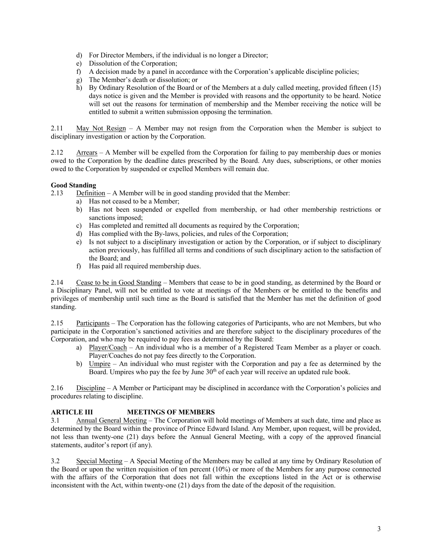- d) For Director Members, if the individual is no longer a Director;
- e) Dissolution of the Corporation;
- f) A decision made by a panel in accordance with the Corporation's applicable discipline policies;
- g) The Member's death or dissolution; or
- h) By Ordinary Resolution of the Board or of the Members at a duly called meeting, provided fifteen (15) days notice is given and the Member is provided with reasons and the opportunity to be heard. Notice will set out the reasons for termination of membership and the Member receiving the notice will be entitled to submit a written submission opposing the termination.

2.11 May Not Resign – A Member may not resign from the Corporation when the Member is subject to disciplinary investigation or action by the Corporation.

2.12 Arrears – A Member will be expelled from the Corporation for failing to pay membership dues or monies owed to the Corporation by the deadline dates prescribed by the Board. Any dues, subscriptions, or other monies owed to the Corporation by suspended or expelled Members will remain due.

## **Good Standing**

2.13 Definition – A Member will be in good standing provided that the Member:

- a) Has not ceased to be a Member;
- b) Has not been suspended or expelled from membership, or had other membership restrictions or sanctions imposed;
- c) Has completed and remitted all documents as required by the Corporation;
- d) Has complied with the By-laws, policies, and rules of the Corporation;
- e) Is not subject to a disciplinary investigation or action by the Corporation, or if subject to disciplinary action previously, has fulfilled all terms and conditions of such disciplinary action to the satisfaction of the Board; and
- f) Has paid all required membership dues.

2.14 Cease to be in Good Standing – Members that cease to be in good standing, as determined by the Board or a Disciplinary Panel, will not be entitled to vote at meetings of the Members or be entitled to the benefits and privileges of membership until such time as the Board is satisfied that the Member has met the definition of good standing.

2.15 Participants – The Corporation has the following categories of Participants, who are not Members, but who participate in the Corporation's sanctioned activities and are therefore subject to the disciplinary procedures of the Corporation, and who may be required to pay fees as determined by the Board:

- a) Player/Coach An individual who is a member of a Registered Team Member as a player or coach. Player/Coaches do not pay fees directly to the Corporation.
- b) Umpire An individual who must register with the Corporation and pay a fee as determined by the Board. Umpires who pay the fee by June 30<sup>th</sup> of each year will receive an updated rule book.

2.16 Discipline – A Member or Participant may be disciplined in accordance with the Corporation's policies and procedures relating to discipline.

# **ARTICLE III MEETINGS OF MEMBERS**

3.1 Annual General Meeting – The Corporation will hold meetings of Members at such date, time and place as determined by the Board within the province of Prince Edward Island. Any Member, upon request, will be provided, not less than twenty-one (21) days before the Annual General Meeting, with a copy of the approved financial statements, auditor's report (if any).

3.2 Special Meeting – A Special Meeting of the Members may be called at any time by Ordinary Resolution of the Board or upon the written requisition of ten percent (10%) or more of the Members for any purpose connected with the affairs of the Corporation that does not fall within the exceptions listed in the Act or is otherwise inconsistent with the Act, within twenty-one (21) days from the date of the deposit of the requisition.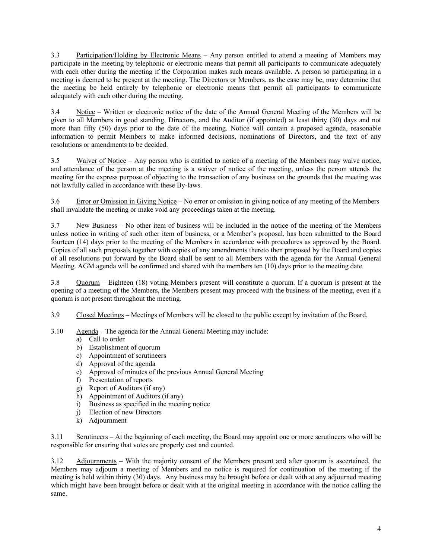3.3 Participation/Holding by Electronic Means – Any person entitled to attend a meeting of Members may participate in the meeting by telephonic or electronic means that permit all participants to communicate adequately with each other during the meeting if the Corporation makes such means available. A person so participating in a meeting is deemed to be present at the meeting. The Directors or Members, as the case may be, may determine that the meeting be held entirely by telephonic or electronic means that permit all participants to communicate adequately with each other during the meeting.

3.4 Notice – Written or electronic notice of the date of the Annual General Meeting of the Members will be given to all Members in good standing, Directors, and the Auditor (if appointed) at least thirty (30) days and not more than fifty (50) days prior to the date of the meeting. Notice will contain a proposed agenda, reasonable information to permit Members to make informed decisions, nominations of Directors, and the text of any resolutions or amendments to be decided.

3.5 Waiver of Notice – Any person who is entitled to notice of a meeting of the Members may waive notice, and attendance of the person at the meeting is a waiver of notice of the meeting, unless the person attends the meeting for the express purpose of objecting to the transaction of any business on the grounds that the meeting was not lawfully called in accordance with these By-laws.

3.6 Error or Omission in Giving Notice – No error or omission in giving notice of any meeting of the Members shall invalidate the meeting or make void any proceedings taken at the meeting.

3.7 New Business – No other item of business will be included in the notice of the meeting of the Members unless notice in writing of such other item of business, or a Member's proposal, has been submitted to the Board fourteen (14) days prior to the meeting of the Members in accordance with procedures as approved by the Board. Copies of all such proposals together with copies of any amendments thereto then proposed by the Board and copies of all resolutions put forward by the Board shall be sent to all Members with the agenda for the Annual General Meeting. AGM agenda will be confirmed and shared with the members ten (10) days prior to the meeting date.

3.8 Quorum – Eighteen (18) voting Members present will constitute a quorum. If a quorum is present at the opening of a meeting of the Members, the Members present may proceed with the business of the meeting, even if a quorum is not present throughout the meeting.

3.9 Closed Meetings – Meetings of Members will be closed to the public except by invitation of the Board.

- 3.10 Agenda The agenda for the Annual General Meeting may include:
	- a) Call to order
	- b) Establishment of quorum
	- c) Appointment of scrutineers
	- d) Approval of the agenda
	- e) Approval of minutes of the previous Annual General Meeting
	- f) Presentation of reports
	- g) Report of Auditors (if any)
	- h) Appointment of Auditors (if any)
	- i) Business as specified in the meeting notice
	- j) Election of new Directors
	- k) Adjournment

3.11 Scrutineers – At the beginning of each meeting, the Board may appoint one or more scrutineers who will be responsible for ensuring that votes are properly cast and counted.

3.12 Adjournments – With the majority consent of the Members present and after quorum is ascertained, the Members may adjourn a meeting of Members and no notice is required for continuation of the meeting if the meeting is held within thirty (30) days. Any business may be brought before or dealt with at any adjourned meeting which might have been brought before or dealt with at the original meeting in accordance with the notice calling the same.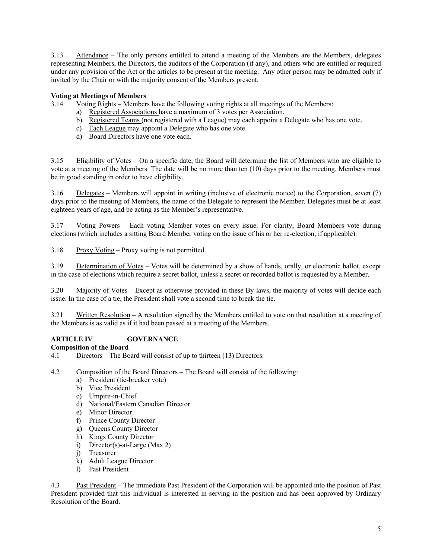3.13 Attendance – The only persons entitled to attend a meeting of the Members are the Members, delegates representing Members, the Directors, the auditors of the Corporation (if any), and others who are entitled or required under any provision of the Act or the articles to be present at the meeting. Any other person may be admitted only if invited by the Chair or with the majority consent of the Members present.

# **Voting at Meetings of Members**

3.14 Voting Rights – Members have the following voting rights at all meetings of the Members:

- a) Registered Associations have a maximum of 3 votes per Association.
- b) Registered Teams (not registered with a League) may each appoint a Delegate who has one vote.
- c) Each League may appoint a Delegate who has one vote.
- d) Board Directors have one vote each.

3.15 Eligibility of Votes – On a specific date, the Board will determine the list of Members who are eligible to vote at a meeting of the Members. The date will be no more than ten (10) days prior to the meeting. Members must be in good standing in order to have eligibility.

3.16 Delegates – Members will appoint in writing (inclusive of electronic notice) to the Corporation, seven (7) days prior to the meeting of Members, the name of the Delegate to represent the Member. Delegates must be at least eighteen years of age, and be acting as the Member's representative.

3.17 Voting Powers – Each voting Member votes on every issue. For clarity, Board Members vote during elections (which includes a sitting Board Member voting on the issue of his or her re-election, if applicable).

3.18 Proxy Voting – Proxy voting is not permitted.

3.19 Determination of Votes – Votes will be determined by a show of hands, orally, or electronic ballot, except in the case of elections which require a secret ballot, unless a secret or recorded ballot is requested by a Member.

3.20 Majority of Votes – Except as otherwise provided in these By-laws, the majority of votes will decide each issue. In the case of a tie, the President shall vote a second time to break the tie.

3.21 Written Resolution – A resolution signed by the Members entitled to vote on that resolution at a meeting of the Members is as valid as if it had been passed at a meeting of the Members.

# **ARTICLE IV GOVERNANCE**

## **Composition of the Board**

- 4.1 Directors The Board will consist of up to thirteen (13) Directors.
- 4.2 Composition of the Board Directors The Board will consist of the following:
	- a) President (tie-breaker vote)
	- b) Vice President
	- c) Umpire-in-Chief
	- d) National/Eastern Canadian Director
	- e) Minor Director
	- f) Prince County Director
	- g) Queens County Director
	- h) Kings County Director
	- i) Director(s)-at-Large (Max 2)
	- j) Treasurer
	- k) Adult League Director
	- l) Past President

4.3 Past President – The immediate Past President of the Corporation will be appointed into the position of Past President provided that this individual is interested in serving in the position and has been approved by Ordinary Resolution of the Board.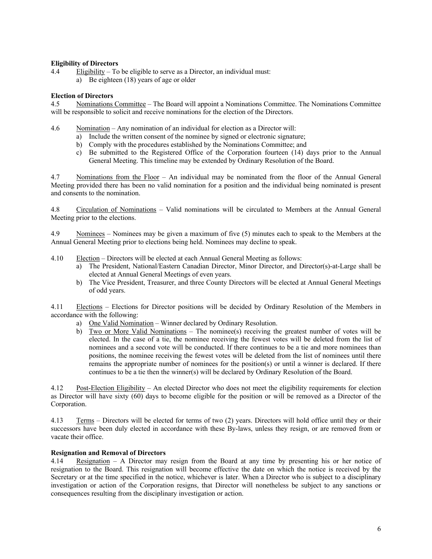## **Eligibility of Directors**

- 4.4 Eligibility To be eligible to serve as a Director, an individual must:
	- a) Be eighteen (18) years of age or older

## **Election of Directors**

4.5 Nominations Committee – The Board will appoint a Nominations Committee. The Nominations Committee will be responsible to solicit and receive nominations for the election of the Directors.

- 4.6 Nomination Any nomination of an individual for election as a Director will:
	- a) Include the written consent of the nominee by signed or electronic signature;
	- b) Comply with the procedures established by the Nominations Committee; and
	- c) Be submitted to the Registered Office of the Corporation fourteen (14) days prior to the Annual General Meeting. This timeline may be extended by Ordinary Resolution of the Board.

4.7 Nominations from the Floor – An individual may be nominated from the floor of the Annual General Meeting provided there has been no valid nomination for a position and the individual being nominated is present and consents to the nomination.

4.8 Circulation of Nominations – Valid nominations will be circulated to Members at the Annual General Meeting prior to the elections.

4.9 Nominees – Nominees may be given a maximum of five (5) minutes each to speak to the Members at the Annual General Meeting prior to elections being held. Nominees may decline to speak.

- 4.10 Election Directors will be elected at each Annual General Meeting as follows:
	- a) The President, National/Eastern Canadian Director, Minor Director, and Director(s)-at-Large shall be elected at Annual General Meetings of even years.
	- b) The Vice President, Treasurer, and three County Directors will be elected at Annual General Meetings of odd years.

4.11 Elections – Elections for Director positions will be decided by Ordinary Resolution of the Members in accordance with the following:

- a) One Valid Nomination Winner declared by Ordinary Resolution.
- b) Two or More Valid Nominations The nominee(s) receiving the greatest number of votes will be elected. In the case of a tie, the nominee receiving the fewest votes will be deleted from the list of nominees and a second vote will be conducted. If there continues to be a tie and more nominees than positions, the nominee receiving the fewest votes will be deleted from the list of nominees until there remains the appropriate number of nominees for the position(s) or until a winner is declared. If there continues to be a tie then the winner(s) will be declared by Ordinary Resolution of the Board.

4.12 Post-Election Eligibility – An elected Director who does not meet the eligibility requirements for election as Director will have sixty (60) days to become eligible for the position or will be removed as a Director of the Corporation.

4.13 Terms – Directors will be elected for terms of two (2) years. Directors will hold office until they or their successors have been duly elected in accordance with these By-laws, unless they resign, or are removed from or vacate their office.

## **Resignation and Removal of Directors**

4.14 Resignation – A Director may resign from the Board at any time by presenting his or her notice of resignation to the Board. This resignation will become effective the date on which the notice is received by the Secretary or at the time specified in the notice, whichever is later. When a Director who is subject to a disciplinary investigation or action of the Corporation resigns, that Director will nonetheless be subject to any sanctions or consequences resulting from the disciplinary investigation or action.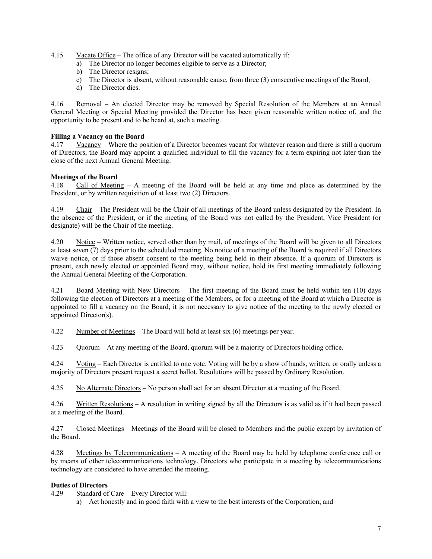- 4.15 Vacate Office The office of any Director will be vacated automatically if:
	- a) The Director no longer becomes eligible to serve as a Director;
	- b) The Director resigns;
	- c) The Director is absent, without reasonable cause, from three (3) consecutive meetings of the Board;
	- d) The Director dies.

4.16 Removal – An elected Director may be removed by Special Resolution of the Members at an Annual General Meeting or Special Meeting provided the Director has been given reasonable written notice of, and the opportunity to be present and to be heard at, such a meeting.

#### **Filling a Vacancy on the Board**

4.17 Vacancy – Where the position of a Director becomes vacant for whatever reason and there is still a quorum of Directors, the Board may appoint a qualified individual to fill the vacancy for a term expiring not later than the close of the next Annual General Meeting.

#### **Meetings of the Board**

4.18 Call of Meeting – A meeting of the Board will be held at any time and place as determined by the President, or by written requisition of at least two (2) Directors.

4.19 Chair – The President will be the Chair of all meetings of the Board unless designated by the President. In the absence of the President, or if the meeting of the Board was not called by the President, Vice President (or designate) will be the Chair of the meeting.

4.20 Notice – Written notice, served other than by mail, of meetings of the Board will be given to all Directors at least seven (7) days prior to the scheduled meeting. No notice of a meeting of the Board is required if all Directors waive notice, or if those absent consent to the meeting being held in their absence. If a quorum of Directors is present, each newly elected or appointed Board may, without notice, hold its first meeting immediately following the Annual General Meeting of the Corporation.

4.21 Board Meeting with New Directors - The first meeting of the Board must be held within ten (10) days following the election of Directors at a meeting of the Members, or for a meeting of the Board at which a Director is appointed to fill a vacancy on the Board, it is not necessary to give notice of the meeting to the newly elected or appointed Director(s).

4.22 Number of Meetings – The Board will hold at least six (6) meetings per year.

4.23 Quorum – At any meeting of the Board, quorum will be a majority of Directors holding office.

4.24 Voting – Each Director is entitled to one vote. Voting will be by a show of hands, written, or orally unless a majority of Directors present request a secret ballot. Resolutions will be passed by Ordinary Resolution.

4.25 No Alternate Directors – No person shall act for an absent Director at a meeting of the Board.

4.26 Written Resolutions – A resolution in writing signed by all the Directors is as valid as if it had been passed at a meeting of the Board.

4.27 Closed Meetings – Meetings of the Board will be closed to Members and the public except by invitation of the Board.

4.28 Meetings by Telecommunications – A meeting of the Board may be held by telephone conference call or by means of other telecommunications technology. Directors who participate in a meeting by telecommunications technology are considered to have attended the meeting.

## **Duties of Directors**

4.29 Standard of Care – Every Director will:

a) Act honestly and in good faith with a view to the best interests of the Corporation; and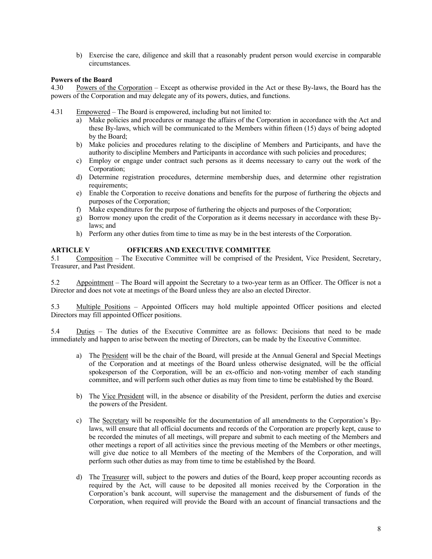b) Exercise the care, diligence and skill that a reasonably prudent person would exercise in comparable circumstances.

## **Powers of the Board**

4.30 Powers of the Corporation – Except as otherwise provided in the Act or these By-laws, the Board has the powers of the Corporation and may delegate any of its powers, duties, and functions.

- 4.31 Empowered The Board is empowered, including but not limited to:
	- a) Make policies and procedures or manage the affairs of the Corporation in accordance with the Act and these By-laws, which will be communicated to the Members within fifteen (15) days of being adopted by the Board;
	- b) Make policies and procedures relating to the discipline of Members and Participants, and have the authority to discipline Members and Participants in accordance with such policies and procedures;
	- c) Employ or engage under contract such persons as it deems necessary to carry out the work of the Corporation;
	- d) Determine registration procedures, determine membership dues, and determine other registration requirements;
	- e) Enable the Corporation to receive donations and benefits for the purpose of furthering the objects and purposes of the Corporation;
	- f) Make expenditures for the purpose of furthering the objects and purposes of the Corporation;
	- g) Borrow money upon the credit of the Corporation as it deems necessary in accordance with these Bylaws; and
	- h) Perform any other duties from time to time as may be in the best interests of the Corporation.

## **ARTICLE V OFFICERS AND EXECUTIVE COMMITTEE**

5.1 Composition – The Executive Committee will be comprised of the President, Vice President, Secretary, Treasurer, and Past President.

5.2 Appointment – The Board will appoint the Secretary to a two-year term as an Officer. The Officer is not a Director and does not vote at meetings of the Board unless they are also an elected Director.

5.3 Multiple Positions – Appointed Officers may hold multiple appointed Officer positions and elected Directors may fill appointed Officer positions.

5.4 Duties – The duties of the Executive Committee are as follows: Decisions that need to be made immediately and happen to arise between the meeting of Directors, can be made by the Executive Committee.

- a) The President will be the chair of the Board, will preside at the Annual General and Special Meetings of the Corporation and at meetings of the Board unless otherwise designated, will be the official spokesperson of the Corporation, will be an ex-officio and non-voting member of each standing committee, and will perform such other duties as may from time to time be established by the Board.
- b) The Vice President will, in the absence or disability of the President, perform the duties and exercise the powers of the President.
- c) The Secretary will be responsible for the documentation of all amendments to the Corporation's Bylaws, will ensure that all official documents and records of the Corporation are properly kept, cause to be recorded the minutes of all meetings, will prepare and submit to each meeting of the Members and other meetings a report of all activities since the previous meeting of the Members or other meetings, will give due notice to all Members of the meeting of the Members of the Corporation, and will perform such other duties as may from time to time be established by the Board.
- d) The Treasurer will, subject to the powers and duties of the Board, keep proper accounting records as required by the Act, will cause to be deposited all monies received by the Corporation in the Corporation's bank account, will supervise the management and the disbursement of funds of the Corporation, when required will provide the Board with an account of financial transactions and the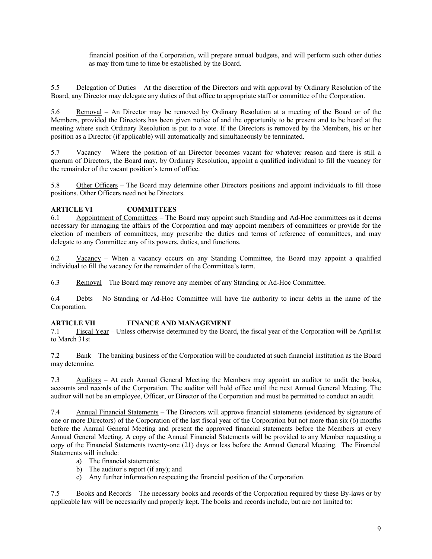financial position of the Corporation, will prepare annual budgets, and will perform such other duties as may from time to time be established by the Board.

5.5 Delegation of Duties – At the discretion of the Directors and with approval by Ordinary Resolution of the Board, any Director may delegate any duties of that office to appropriate staff or committee of the Corporation.

5.6 Removal – An Director may be removed by Ordinary Resolution at a meeting of the Board or of the Members, provided the Directors has been given notice of and the opportunity to be present and to be heard at the meeting where such Ordinary Resolution is put to a vote. If the Directors is removed by the Members, his or her position as a Director (if applicable) will automatically and simultaneously be terminated.

5.7 Vacancy – Where the position of an Director becomes vacant for whatever reason and there is still a quorum of Directors, the Board may, by Ordinary Resolution, appoint a qualified individual to fill the vacancy for the remainder of the vacant position's term of office.

5.8 Other Officers – The Board may determine other Directors positions and appoint individuals to fill those positions. Other Officers need not be Directors.

## **ARTICLE VI COMMITTEES**

6.1 Appointment of Committees – The Board may appoint such Standing and Ad-Hoc committees as it deems necessary for managing the affairs of the Corporation and may appoint members of committees or provide for the election of members of committees, may prescribe the duties and terms of reference of committees, and may delegate to any Committee any of its powers, duties, and functions.

6.2 Vacancy – When a vacancy occurs on any Standing Committee, the Board may appoint a qualified individual to fill the vacancy for the remainder of the Committee's term.

6.3 Removal – The Board may remove any member of any Standing or Ad-Hoc Committee.

6.4 Debts – No Standing or Ad-Hoc Committee will have the authority to incur debts in the name of the Corporation.

## **ARTICLE VII FINANCE AND MANAGEMENT**

7.1 Fiscal Year – Unless otherwise determined by the Board, the fiscal year of the Corporation will be April1st to March 31st

7.2 Bank – The banking business of the Corporation will be conducted at such financial institution as the Board may determine.

7.3 Auditors – At each Annual General Meeting the Members may appoint an auditor to audit the books, accounts and records of the Corporation. The auditor will hold office until the next Annual General Meeting. The auditor will not be an employee, Officer, or Director of the Corporation and must be permitted to conduct an audit.

7.4 Annual Financial Statements – The Directors will approve financial statements (evidenced by signature of one or more Directors) of the Corporation of the last fiscal year of the Corporation but not more than six (6) months before the Annual General Meeting and present the approved financial statements before the Members at every Annual General Meeting. A copy of the Annual Financial Statements will be provided to any Member requesting a copy of the Financial Statements twenty-one (21) days or less before the Annual General Meeting. The Financial Statements will include:

- a) The financial statements;
- b) The auditor's report (if any); and
- c) Any further information respecting the financial position of the Corporation.

7.5 Books and Records – The necessary books and records of the Corporation required by these By-laws or by applicable law will be necessarily and properly kept. The books and records include, but are not limited to: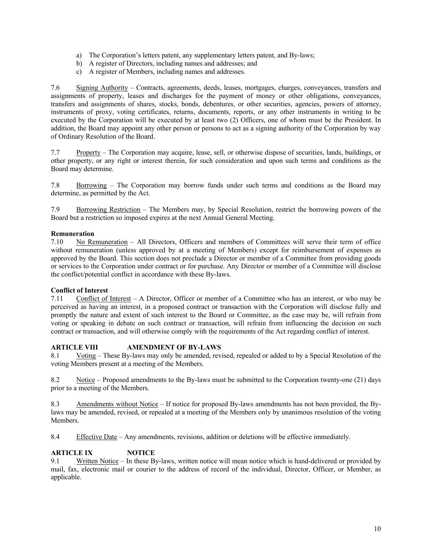- a) The Corporation's letters patent, any supplementary letters patent, and By-laws;
- b) A register of Directors, including names and addresses; and
- c) A register of Members, including names and addresses.

7.6 Signing Authority – Contracts, agreements, deeds, leases, mortgages, charges, conveyances, transfers and assignments of property, leases and discharges for the payment of money or other obligations, conveyances, transfers and assignments of shares, stocks, bonds, debentures, or other securities, agencies, powers of attorney, instruments of proxy, voting certificates, returns, documents, reports, or any other instruments in writing to be executed by the Corporation will be executed by at least two (2) Officers, one of whom must be the President. In addition, the Board may appoint any other person or persons to act as a signing authority of the Corporation by way of Ordinary Resolution of the Board.

7.7 Property – The Corporation may acquire, lease, sell, or otherwise dispose of securities, lands, buildings, or other property, or any right or interest therein, for such consideration and upon such terms and conditions as the Board may determine.

7.8 Borrowing – The Corporation may borrow funds under such terms and conditions as the Board may determine, as permitted by the Act.

7.9 Borrowing Restriction – The Members may, by Special Resolution, restrict the borrowing powers of the Board but a restriction so imposed expires at the next Annual General Meeting.

#### **Remuneration**

7.10 No Remuneration – All Directors, Officers and members of Committees will serve their term of office without remuneration (unless approved by at a meeting of Members) except for reimbursement of expenses as approved by the Board. This section does not preclude a Director or member of a Committee from providing goods or services to the Corporation under contract or for purchase. Any Director or member of a Committee will disclose the conflict/potential conflict in accordance with these By-laws.

## **Conflict of Interest**

7.11 Conflict of Interest – A Director, Officer or member of a Committee who has an interest, or who may be perceived as having an interest, in a proposed contract or transaction with the Corporation will disclose fully and promptly the nature and extent of such interest to the Board or Committee, as the case may be, will refrain from voting or speaking in debate on such contract or transaction, will refrain from influencing the decision on such contract or transaction, and will otherwise comply with the requirements of the Act regarding conflict of interest.

## **ARTICLE VIII AMENDMENT OF BY-LAWS**

8.1 Voting – These By-laws may only be amended, revised, repealed or added to by a Special Resolution of the voting Members present at a meeting of the Members.

8.2 Notice – Proposed amendments to the By-laws must be submitted to the Corporation twenty-one (21) days prior to a meeting of the Members.

8.3 Amendments without Notice – If notice for proposed By-laws amendments has not been provided, the Bylaws may be amended, revised, or repealed at a meeting of the Members only by unanimous resolution of the voting Members.

8.4 Effective Date – Any amendments, revisions, addition or deletions will be effective immediately.

## **ARTICLE IX NOTICE**

9.1 Written Notice – In these By-laws, written notice will mean notice which is hand-delivered or provided by mail, fax, electronic mail or courier to the address of record of the individual, Director, Officer, or Member, as applicable.